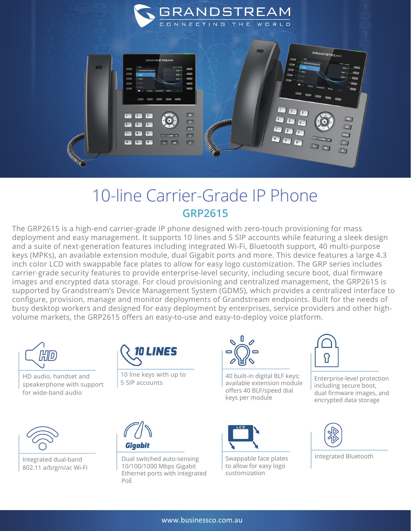

## 10-line Carrier-Grade IP Phone **GRP2615**

The GRP2615 is a high-end carrier-grade IP phone designed with zero-touch provisioning for mass deployment and easy management. It supports 10 lines and 5 SIP accounts while featuring a sleek design and a suite of next-generation features including integrated Wi-Fi, Bluetooth support, 40 multi-purpose keys (MPKs), an available extension module, dual Gigabit ports and more. This device features a large 4.3 inch color LCD with swappable face plates to allow for easy logo customization. The GRP series includes carrier-grade security features to provide enterprise-level security, including secure boot, dual firmware images and encrypted data storage. For cloud provisioning and centralized management, the GRP2615 is supported by Grandstream's Device Management System (GDMS), which provides a centralized interface to configure, provision, manage and monitor deployments of Grandstream endpoints. Built for the needs of busy desktop workers and designed for easy deployment by enterprises, service providers and other highvolume markets, the GRP2615 offers an easy-to-use and easy-to-deploy voice platform.



HD audio, handset and speakerphone with support for wide-band audio



Integrated dual-band 802.11 a/b/g/n/ac Wi-Fi



10 line keys with up to 5 SIP accounts



Dual switched auto-sensing 10/100/1000 Mbps Gigabit Ethernet ports with integrated PoE



40 built-in digital BLF keys; available extension module offers 40 BLF/speed dial keys per module



Swappable face plates to allow for easy logo customization



Enterprise-level protection including secure boot, dual firmware images, and encrypted data storage



Integrated Bluetooth